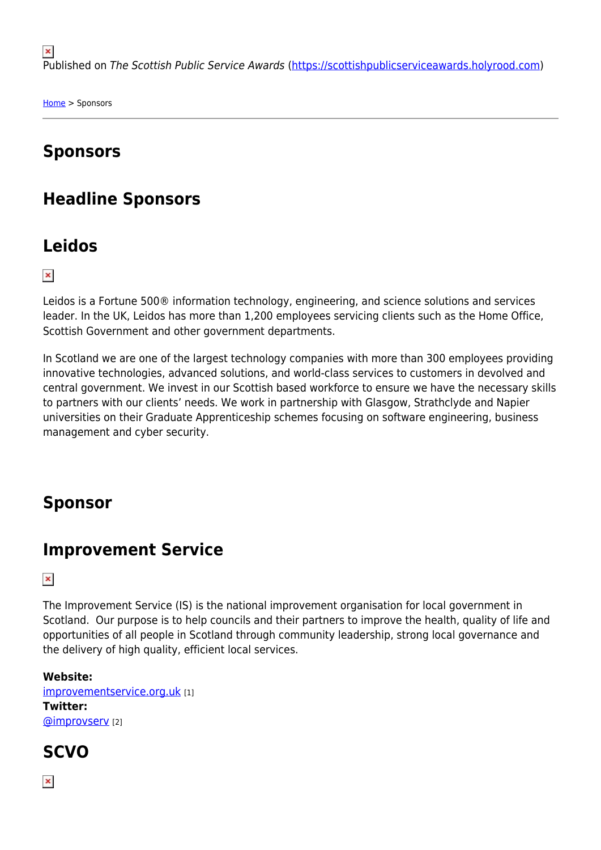$\pmb{\times}$ Published on The Scottish Public Service Awards [\(https://scottishpublicserviceawards.holyrood.com\)](https://scottishpublicserviceawards.holyrood.com)

[Home](https://scottishpublicserviceawards.holyrood.com/) > Sponsors

## **Sponsors**

### **Headline Sponsors**

#### **Leidos**

 $\pmb{\times}$ 

Leidos is a Fortune 500® information technology, engineering, and science solutions and services leader. In the UK, Leidos has more than 1,200 employees servicing clients such as the Home Office, Scottish Government and other government departments.

In Scotland we are one of the largest technology companies with more than 300 employees providing innovative technologies, advanced solutions, and world-class services to customers in devolved and central government. We invest in our Scottish based workforce to ensure we have the necessary skills to partners with our clients' needs. We work in partnership with Glasgow, Strathclyde and Napier universities on their Graduate Apprenticeship schemes focusing on software engineering, business management and cyber security.

#### **Sponsor**

#### **Improvement Service**

 $\pmb{\times}$ 

The Improvement Service (IS) is the national improvement organisation for local government in Scotland. Our purpose is to help councils and their partners to improve the health, quality of life and opportunities of all people in Scotland through community leadership, strong local governance and the delivery of high quality, efficient local services.

**Website:**  [improvementservice.org.uk](http://www.improvementservice.org.uk/) [1] **Twitter:**  [@improvserv](http://twitter.com/improvserv) [2]

#### **SCVO**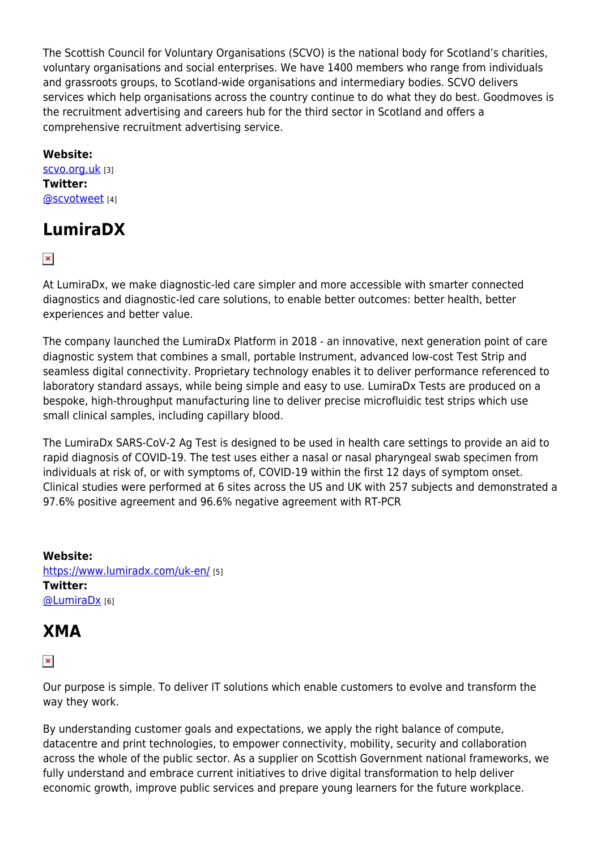The Scottish Council for Voluntary Organisations (SCVO) is the national body for Scotland's charities, voluntary organisations and social enterprises. We have 1400 members who range from individuals and grassroots groups, to Scotland-wide organisations and intermediary bodies. SCVO delivers services which help organisations across the country continue to do what they do best. Goodmoves is the recruitment advertising and careers hub for the third sector in Scotland and offers a comprehensive recruitment advertising service.

**Website:** 

[scvo.org.uk](http://scvo.org.uk/) [3] **Twitter:**  [@scvotweet](http://twitter.com/scvotweet) [4]

# **LumiraDX**

 $\pmb{\times}$ 

At LumiraDx, we make diagnostic-led care simpler and more accessible with smarter connected diagnostics and diagnostic-led care solutions, to enable better outcomes: better health, better experiences and better value.

The company launched the LumiraDx Platform in 2018 - an innovative, next generation point of care diagnostic system that combines a small, portable Instrument, advanced low-cost Test Strip and seamless digital connectivity. Proprietary technology enables it to deliver performance referenced to laboratory standard assays, while being simple and easy to use. LumiraDx Tests are produced on a bespoke, high-throughput manufacturing line to deliver precise microfluidic test strips which use small clinical samples, including capillary blood.

The LumiraDx SARS-CoV-2 Ag Test is designed to be used in health care settings to provide an aid to rapid diagnosis of COVID-19. The test uses either a nasal or nasal pharyngeal swab specimen from individuals at risk of, or with symptoms of, COVID-19 within the first 12 days of symptom onset. Clinical studies were performed at 6 sites across the US and UK with 257 subjects and demonstrated a 97.6% positive agreement and 96.6% negative agreement with RT-PCR

**Website:**  <https://www.lumiradx.com/uk-en/> [5] **Twitter: [@LumiraDx](http://twitter.com/LumiraDx)** [6]

# **XMA**

 $\pmb{\times}$ 

Our purpose is simple. To deliver IT solutions which enable customers to evolve and transform the way they work.

By understanding customer goals and expectations, we apply the right balance of compute, datacentre and print technologies, to empower connectivity, mobility, security and collaboration across the whole of the public sector. As a supplier on Scottish Government national frameworks, we fully understand and embrace current initiatives to drive digital transformation to help deliver economic growth, improve public services and prepare young learners for the future workplace.